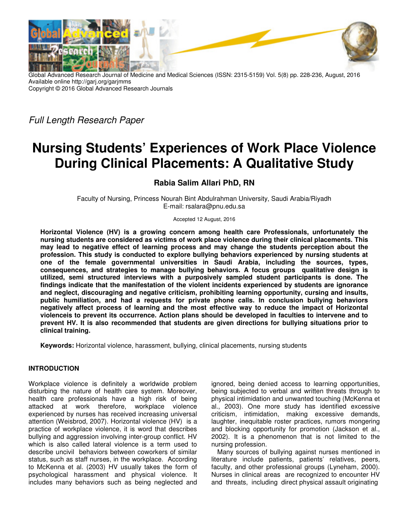

Global Advanced Research Journal of Medicine and Medical Sciences (ISSN: 2315-5159) Vol. 5(8) pp. 228-236, August, 2016 Available online http://garj.org/garjmms Copyright © 2016 Global Advanced Research Journals

*Full Length Research Paper* 

# **Nursing Students' Experiences of Work Place Violence During Clinical Placements: A Qualitative Study**

## **Rabia Salim Allari PhD, RN**

Faculty of Nursing, Princess Nourah Bint Abdulrahman University, Saudi Arabia/Riyadh E-mail: rsalara@pnu.edu.sa

Accepted 12 August, 2016

**Horizontal Violence (HV) is a growing concern among health care Professionals, unfortunately the nursing students are considered as victims of work place violence during their clinical placements. This may lead to negative effect of learning process and may change the students perception about the profession. This study is conducted to explore bullying behaviors experienced by nursing students at one of the female governmental universities in Saudi Arabia, including the sources, types, consequences, and strategies to manage bullying behaviors. A focus groups qualitative design is utilized, semi structured interviews with a purposively sampled student participants is done. The findings indicate that the manifestation of the violent incidents experienced by students are ignorance and neglect, discouraging and negative criticism, prohibiting learning opportunity, cursing and insults, public humiliation, and had a requests for private phone calls. In conclusion bullying behaviors negatively affect process of learning and the most effective way to reduce the impact of Horizontal violenceis to prevent its occurrence. Action plans should be developed in faculties to intervene and to prevent HV. It is also recommended that students are given directions for bullying situations prior to clinical training.** 

**Keywords:** Horizontal violence, harassment, bullying, clinical placements, nursing students

## **INTRODUCTION**

Workplace violence is definitely a worldwide problem disturbing the nature of health care system. Moreover, health care professionals have a high risk of being attacked at work therefore, workplace violence experienced by nurses has received increasing universal attention (Weisbrod, 2007). Horizontal violence (HV) is a practice of workplace violence, it is word that describes bullying and aggression involving inter-group conflict. HV which is also called lateral violence is a term used to describe uncivil behaviors between coworkers of similar status, such as staff nurses, in the workplace. According to McKenna et al. (2003) HV usually takes the form of psychological harassment and physical violence. It includes many behaviors such as being neglected and

ignored, being denied access to learning opportunities, being subjected to verbal and written threats through to physical intimidation and unwanted touching (McKenna et al., 2003). One more study has identified excessive criticism, intimidation, making excessive demands, laughter, inequitable roster practices, rumors mongering and blocking opportunity for promotion (Jackson et al., 2002). It is a phenomenon that is not limited to the nursing profession.

Many sources of bullying against nurses mentioned in literature include patients, patients' relatives, peers, faculty, and other professional groups (Lyneham, 2000). Nurses in clinical areas are recognized to encounter HV and threats, including direct physical assault originating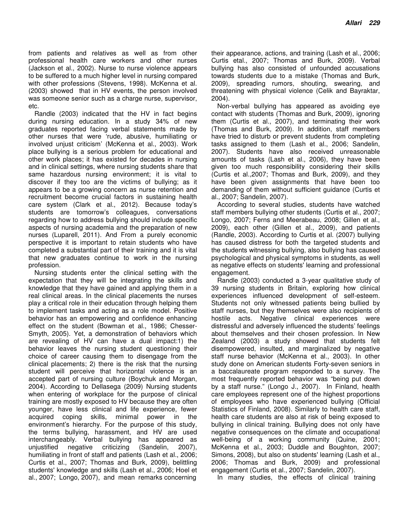from patients and relatives as well as from other professional health care workers and other nurses (Jackson et al., 2002). Nurse to nurse violence appears to be suffered to a much higher level in nursing compared with other professions (Stevens, 1998). McKenna et al. (2003) showed that in HV events, the person involved was someone senior such as a charge nurse, supervisor, etc.

Randle (2003) indicated that the HV in fact begins during nursing education. In a study 34% of new graduates reported facing verbal statements made by other nurses that were 'rude, abusive, humiliating or involved unjust criticism' (McKenna et al., 2003). Work place bullying is a serious problem for educational and other work places; it has existed for decades in nursing and in clinical settings, where nursing students share that same hazardous nursing environment; it is vital to discover if they too are the victims of bullying; as it appears to be a growing concern as nurse retention and recruitment become crucial factors in sustaining health care system (Clark et al., 2012). Because today's students are tomorrow's colleagues, conversations regarding how to address bullying should include specific aspects of nursing academia and the preparation of new nurses (Luparell, 2011). And From a purely economic perspective it is important to retain students who have completed a substantial part of their training and it is vital that new graduates continue to work in the nursing profession.

Nursing students enter the clinical setting with the expectation that they will be integrating the skills and knowledge that they have gained and applying them in a real clinical areas. In the clinical placements the nurses play a critical role in their education through helping them to implement tasks and acting as a role model. Positive behavior has an empowering and confidence enhancing effect on the student (Bowman et al., 1986; Chesser-Smyth, 2005). Yet, a demonstration of behaviors which are revealing of HV can have a dual impact:1) the behavior leaves the nursing student questioning their choice of career causing them to disengage from the clinical placements; 2) there is the risk that the nursing student will perceive that horizontal violence is an accepted part of nursing culture (Boychuk and Morgan, 2004). According to Dellasega (2009) Nursing students when entering of workplace for the purpose of clinical training are mostly exposed to HV because they are often younger, have less clinical and life experience, fewer acquired coping skills, minimal power in the environment's hierarchy. For the purpose of this study, the terms bullying, harassment, and HV are used interchangeably. Verbal bullying has appeared as unjustified negative criticizing (Sandelin, 2007), humiliating in front of staff and patients (Lash et al., 2006; Curtis et al., 2007; Thomas and Burk, 2009), belittling students' knowledge and skills (Lash et al., 2006; Hoel et al., 2007; Longo, 2007), and mean remarks concerning

their appearance, actions, and training (Lash et al., 2006; Curtis etal., 2007; Thomas and Burk, 2009). Verbal bullying has also consisted of unfounded accusations towards students due to a mistake (Thomas and Burk, 2009), spreading rumors, shouting, swearing, and threatening with physical violence (Celik and Bayraktar, 2004).

Non-verbal bullying has appeared as avoiding eye contact with students (Thomas and Burk, 2009), ignoring them (Curtis et al., 2007), and terminating their work (Thomas and Burk, 2009). In addition, staff members have tried to disturb or prevent students from completing tasks assigned to them (Lash et al., 2006; Sandelin, 2007). Students have also received unreasonable amounts of tasks (Lash et al., 2006), they have been given too much responsibility considering their skills (Curtis et al.,2007; Thomas and Burk, 2009), and they have been given assignments that have been too demanding of them without sufficient guidance (Curtis et al., 2007; Sandelin, 2007).

According to several studies, students have watched staff members bullying other students (Curtis et al., 2007; Longo, 2007; Ferns and Meerabeau, 2008; Gillen et al., 2009), each other (Gillen et al., 2009), and patients (Randle, 2003). According to Curtis et al. (2007) bullying has caused distress for both the targeted students and the students witnessing bullying, also bullying has caused psychological and physical symptoms in students, as well as negative effects on students' learning and professional engagement.

Randle (2003) conducted a 3-year qualitative study of 39 nursing students in Britain, exploring how clinical experiences influenced development of self-esteem. Students not only witnessed patients being bullied by staff nurses, but they themselves were also recipients of hostile acts. Negative clinical experiences were distressful and adversely influenced the students' feelings about themselves and their chosen profession. In New Zealand (2003) a study showed that students felt disempowered, insulted, and marginalized by negative staff nurse behavior (McKenna et al., 2003). In other study done on American students Forty-seven seniors in a baccalaureate program responded to a survey. The most frequently reported behavior was "being put down by a staff nurse." (Longo J., 2007). In Finland, health care employees represent one of the highest proportions of employees who have experienced bullying (Official Statistics of Finland, 2008). Similarly to health care staff, health care students are also at risk of being exposed to bullying in clinical training. Bullying does not only have negative consequences on the climate and occupational well-being of a working community (Quine, 2001; McKenna et al., 2003; Duddle and Boughton, 2007; Simons, 2008), but also on students' learning (Lash et al., 2006; Thomas and Burk, 2009) and professional engagement (Curtis et al., 2007; Sandelin, 2007).

In many studies, the effects of clinical training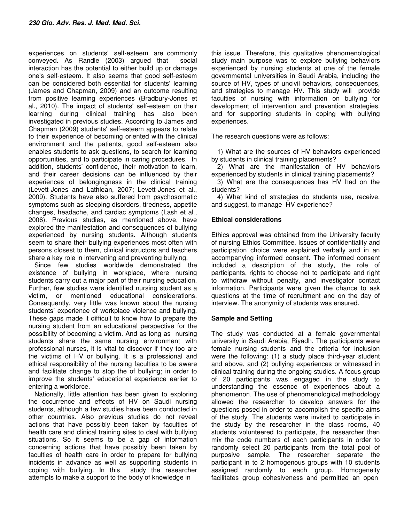experiences on students' self-esteem are commonly conveyed. As Randle (2003) argued that social interaction has the potential to either build up or damage one's self-esteem. It also seems that good self-esteem can be considered both essential for students' learning (James and Chapman, 2009) and an outcome resulting from positive learning experiences (Bradbury-Jones et al., 2010). The impact of students' self-esteem on their learning during clinical training has also been investigated in previous studies. According to James and Chapman (2009) students' self-esteem appears to relate to their experience of becoming oriented with the clinical environment and the patients, good self-esteem also enables students to ask questions, to search for learning opportunities, and to participate in caring procedures. In addition, students' confidence, their motivation to learn, and their career decisions can be influenced by their experiences of belongingness in the clinical training (Levett-Jones and Lathlean, 2007; Levett-Jones et al., 2009). Students have also suffered from psychosomatic symptoms such as sleeping disorders, tiredness, appetite changes, headache, and cardiac symptoms (Lash et al., 2006). Previous studies, as mentioned above, have explored the manifestation and consequences of bullying experienced by nursing students. Although students seem to share their bullying experiences most often with persons closest to them, clinical instructors and teachers share a key role in intervening and preventing bullying.

Since few studies worldwide demonstrated the existence of bullying in workplace, where nursing students carry out a major part of their nursing education. Further, few studies were identified nursing student as a victim, or mentioned educational considerations. Consequently, very little was known about the nursing students' experience of workplace violence and bullying. These gaps made it difficult to know how to prepare the nursing student from an educational perspective for the possibility of becoming a victim. And as long as nursing students share the same nursing environment with professional nurses, it is vital to discover if they too are the victims of HV or bullying. It is a professional and ethical responsibility of the nursing faculties to be aware and facilitate change to stop the of bullying; in order to improve the students' educational experience earlier to entering a workforce.

Nationally, little attention has been given to exploring the occurrence and effects of HV on Saudi nursing students, although a few studies have been conducted in other countries. Also previous studies do not reveal actions that have possibly been taken by faculties of health care and clinical training sites to deal with bullying situations. So it seems to be a gap of information concerning actions that have possibly been taken by faculties of health care in order to prepare for bullying incidents in advance as well as supporting students in coping with bullying. In this study the researcher attempts to make a support to the body of knowledge in

this issue. Therefore, this qualitative phenomenological study main purpose was to explore bullying behaviors experienced by nursing students at one of the female governmental universities in Saudi Arabia, including the source of HV, types of uncivil behaviors, consequences, and strategies to manage HV. This study will provide faculties of nursing with information on bullying for development of intervention and prevention strategies, and for supporting students in coping with bullying experiences.

The research questions were as follows:

1) What are the sources of HV behaviors experienced by students in clinical training placements?

2) What are the manifestation of HV behaviors experienced by students in clinical training placements?

3) What are the consequences has HV had on the students?

4) What kind of strategies do students use, receive, and suggest, to manage HV experience?

## **Ethical considerations**

Ethics approval was obtained from the University faculty of nursing Ethics Committee. Issues of confidentiality and participation choice were explained verbally and in an accompanying informed consent. The informed consent included a description of the study, the role of participants, rights to choose not to participate and right to withdraw without penalty, and investigator contact information. Participants were given the chance to ask questions at the time of recruitment and on the day of interview. The anonymity of students was ensured.

## **Sample and Setting**

The study was conducted at a female governmental university in Saudi Arabia, Riyadh. The participants were female nursing students and the criteria for inclusion were the following: (1) a study place third‐year student and above, and (2) bullying experiences or witnessed in clinical training during the ongoing studies. A focus group of 20 participants was engaged in the study to understanding the essence of experiences about a phenomenon. The use of phenomenological methodology allowed the researcher to develop answers for the questions posed in order to accomplish the specific aims of the study. The students were invited to participate in the study by the researcher in the class rooms, 40 students volunteered to participate, the researcher then mix the code numbers of each participants in order to randomly select 20 participants from the total pool of purposive sample. The researcher separate the participant in to 2 homogenous groups with 10 students assigned randomly to each group. Homogeneity facilitates group cohesiveness and permitted an open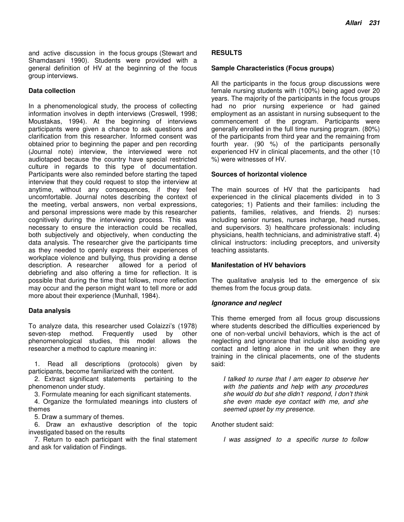and active discussion in the focus groups (Stewart and Shamdasani 1990). Students were provided with a general definition of HV at the beginning of the focus group interviews.

#### **Data collection**

In a phenomenological study, the process of collecting information involves in depth interviews (Creswell, 1998; Moustakas, 1994). At the beginning of interviews participants were given a chance to ask questions and clarification from this researcher. Informed consent was obtained prior to beginning the paper and pen recording (Journal note) interview, the interviewed were not audiotaped because the country have special restricted culture in regards to this type of documentation. Participants were also reminded before starting the taped interview that they could request to stop the interview at anytime, without any consequences, if they feel uncomfortable. Journal notes describing the context of the meeting, verbal answers, non verbal expressions, and personal impressions were made by this researcher cognitively during the interviewing process. This was necessary to ensure the interaction could be recalled, both subjectively and objectively, when conducting the data analysis. The researcher give the participants time as they needed to openly express their experiences of workplace violence and bullying, thus providing a dense description. A researcher allowed for a period of debriefing and also offering a time for reflection. It is possible that during the time that follows, more reflection may occur and the person might want to tell more or add more about their experience (Munhall, 1984).

## **Data analysis**

To analyze data, this researcher used Colaizzi's (1978) seven-step method. Frequently used by other phenomenological studies, this model allows the researcher a method to capture meaning in:

1. Read all descriptions (protocols) given by participants, become familiarized with the content.

2. Extract significant statements pertaining to the phenomenon under study.

3. Formulate meaning for each significant statements.

4. Organize the formulated meanings into clusters of themes

5. Draw a summary of themes.

6. Draw an exhaustive description of the topic investigated based on the results

7. Return to each participant with the final statement and ask for validation of Findings.

#### **RESULTS**

#### **Sample Characteristics (Focus groups)**

All the participants in the focus group discussions were female nursing students with (100%) being aged over 20 years. The majority of the participants in the focus groups had no prior nursing experience or had gained employment as an assistant in nursing subsequent to the commencement of the program. Participants were generally enrolled in the full time nursing program. (80%) of the participants from third year and the remaining from fourth year. (90 %) of the participants personally experienced HV in clinical placements, and the other (10 %) were witnesses of HV.

#### **Sources of horizontal violence**

The main sources of HV that the participants had experienced in the clinical placements divided in to 3 categories; 1) Patients and their families: including the patients, families, relatives, and friends. 2) nurses: including senior nurses, nurses incharge, head nurses, and supervisors. 3) healthcare professionals: including physicians, health technicians, and administrative staff. 4) clinical instructors: including preceptors, and university teaching assistants.

## **Manifestation of HV behaviors**

The qualitative analysis led to the emergence of six themes from the focus group data.

#### **Ignorance and neglect**

This theme emerged from all focus group discussions where students described the difficulties experienced by one of non-verbal uncivil behaviors, which is the act of neglecting and ignorance that include also avoiding eye contact and letting alone in the unit when they are training in the clinical placements, one of the students said:

*I talked to nurse that I am eager to observe her with the patients and help with any procedures she would do but she didn't respond, I don't think she even made eye contact with me, and she seemed upset by my presence.* 

Another student said:

*I was assigned to a specific nurse to follow*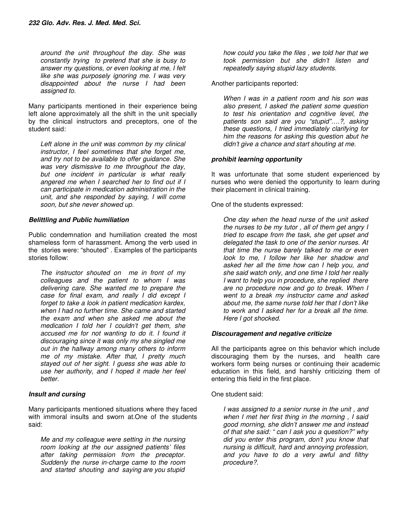*around the unit throughout the day. She was constantly trying to pretend that she is busy to answer my questions, or even looking at me, I felt like she was purposely ignoring me. I was very disappointed about the nurse I had been assigned to.* 

Many participants mentioned in their experience being left alone approximately all the shift in the unit specially by the clinical instructors and preceptors, one of the student said:

*Left alone in the unit was common by my clinical instructor, I feel sometimes that she forget me, and try not to be available to offer guidance. She was very dismissive to me throughout the day, but one incident in particular is what really angered me when I searched her to find out if I can participate in medication administration in the unit, and she responded by saying, I will come soon, but she never showed up.* 

## **Belittling and Public humiliation**

Public condemnation and humiliation created the most shameless form of harassment. Among the verb used in the stories were: "shouted" . Examples of the participants stories follow:

*The instructor shouted on me in front of my colleagues and the patient to whom I was delivering care. She wanted me to prepare the case for final exam, and really I did except I forget to take a look in patient medication kardex, when I had no further time. She came and started the exam and when she asked me about the medication I told her I couldn't get them, she accused me for not wanting to do it. I found it discouraging since it was only my she singled me out in the hallway among many others to inform me of my mistake. After that, I pretty much stayed out of her sight. I guess she was able to use her authority, and I hoped it made her feel better.* 

## **Insult and cursing**

Many participants mentioned situations where they faced with immoral insults and sworn at.One of the students said:

*Me and my colleague were setting in the nursing room looking at the our assigned patients' files after taking permission from the preceptor. Suddenly the nurse in-charge came to the room and started shouting and saying are you stupid* 

*how could you take the files , we told her that we took permission but she didn't listen and repeatedly saying stupid lazy students.* 

Another participants reported:

*When I was in a patient room and his son was also present, I asked the patient some question to test his orientation and cognitive level, the patients son said are you "stupid"….?, asking these questions, I tried immediately clarifying for him the reasons for asking this question abut he didn't give a chance and start shouting at me.* 

## **prohibit learning opportunity**

It was unfortunate that some student experienced by nurses who were denied the opportunity to learn during their placement in clinical training.

One of the students expressed:

*One day when the head nurse of the unit asked the nurses to be my tutor , all of them get angry I tried to escape from the task, she get upset and delegated the task to one of the senior nurses. At that time the nurse barely talked to me or even look to me, I follow her like her shadow and asked her all the time how can I help you, and she said watch only, and one time I told her really I want to help you in procedure, she replied there are no procedure now and go to break. When I went to a break my instructor came and asked about me, the same nurse told her that I don't like to work and I asked her for a break all the time. Here I got shocked.* 

## **Discouragement and negative criticize**

All the participants agree on this behavior which include discouraging them by the nurses, and health care workers form being nurses or continuing their academic education in this field, and harshly criticizing them of entering this field in the first place.

One student said:

*I was assigned to a senior nurse in the unit , and when I met her first thing in the morning , I said good morning, she didn't answer me and instead of that she said: " can I ask you a question?" why did you enter this program, don't you know that nursing is difficult, hard and annoying profession, and you have to do a very awful and filthy procedure?.*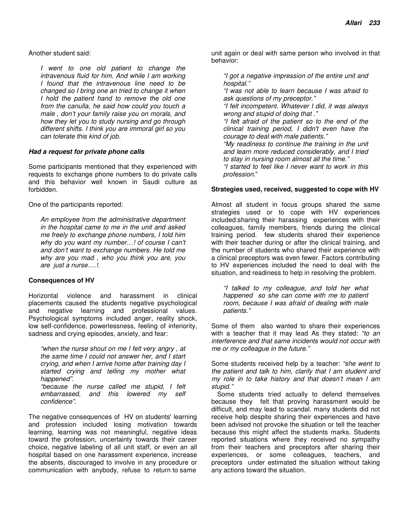Another student said:

*I went to one old patient to change the intravenous fluid for him. And while I am working I found that the intravenous line need to be changed so I bring one an tried to change it when I hold the patient hand to remove the old one from the canulla, he said how could you touch a male , don't your family raise you on morals, and how they let you to study nursing and go through different shifts. I think you are immoral girl so you can tolerate this kind of job.* 

#### **Had a request for private phone calls**

Some participants mentioned that they experienced with requests to exchange phone numbers to do private calls and this behavior well known in Saudi culture as forbidden.

One of the participants reported:

*An employee from the administrative department in the hospital came to me in the unit and asked me freely to exchange phone numbers, I told him why do you want my number…! of course I can't and don't want to exchange numbers. He told me why are you mad , who you think you are, you are just a nurse….!.* 

## **Consequences of HV**

Horizontal violence and harassment in clinical placements caused the students negative psychological and negative learning and professional values. Psychological symptoms included anger, reality shock, low self-confidence, powerlessness, feeling of inferiority, sadness and crying episodes, anxiety, and fear:

*"when the nurse shout on me I felt very angry , at the same time I could not answer her, and I start crying, and when I arrive home after training day I started crying and telling my mother what happened".* 

*"because the nurse called me stupid, I felt embarrassed, and this lowered my self confidence".* 

The negative consequences of HV on students' learning and profession included losing motivation towards learning, learning was not meaningful, negative ideas toward the profession, uncertainty towards their career choice, negative labeling of all unit staff, or even an all hospital based on one harassment experience, increase the absents, discouraged to involve in any procedure or communication with anybody, refuse to return to same

unit again or deal with same person who involved in that behavior:

*"I got a negative impression of the entire unit and hospital."* 

*"I was not able to learn because I was afraid to ask questions of my preceptor."* 

*"I felt incompetent. Whatever I did, it was always wrong and stupid of doing that ."* 

*"I felt afraid of the patient so to the end of the clinical training period, I didn't even have the courage to deal with male patients."* 

*"My readiness to continue the training in the unit and learn more reduced considerably, and I tried to stay in nursing room almost all the time."* 

*"I started to feel like I never want to work in this profession*."

#### **Strategies used, received, suggested to cope with HV**

Almost all student in focus groups shared the same strategies used or to cope with HV experiences included:sharing their harassing experiences with their colleagues, family members, friends during the clinical training period. few students shared their experience with their teacher during or after the clinical training, and the number of students who shared their experience with a clinical preceptors was even fewer. Factors contributing to HV experiences included the need to deal with the situation, and readiness to help in resolving the problem.

*"I talked to my colleague, and told her what happened so she can come with me to patient room, because I was afraid of dealing with male patients."* 

Some of them also wanted to share their experiences with a teacher that it may lead As they stated: *"to an interference and that same incidents would not occur with me or my colleague in the future."*

Some students received help by a teacher: *"she went to the patient and talk to him, clarify that I am student and my role in to take history and that doesn't mean I am stupid."*

Some students tried actually to defend themselves because they felt that proving harassment would be difficult, and may lead to scandal. many students did not receive help despite sharing their experiences and have been advised not provoke the situation or tell the teacher because this might affect the students marks. Students reported situations where they received no sympathy from their teachers and preceptors after sharing their experiences, or some colleagues, teachers, and preceptors under estimated the situation without taking any actions toward the situation.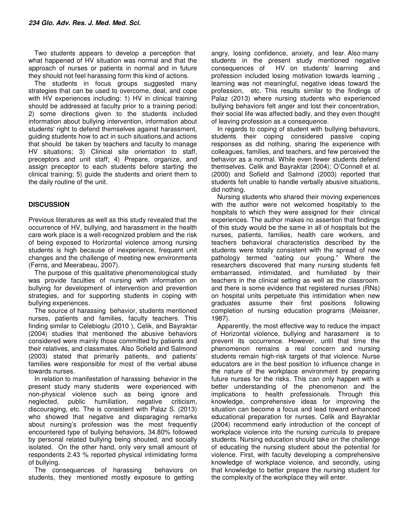Two students appears to develop a perception that what happened of HV situation was normal and that the approach of nurses or patients in normal and in future they should not feel harassing form this kind of actions.

The students in focus groups suggested many strategies that can be used to overcome, deal, and cope with HV experiences including: 1) HV in clinical training should be addressed at faculty prior to a training period; 2) some directions given to the students included information about bullying intervention, information about students' right to defend themselves against harassment, guiding students how to act in such situations,and actions that should be taken by teachers and faculty to manage HV situations; 3) Clinical site orientation to staff, preceptors and unit staff; 4) Prepare, organize, and assign preceptor to each students before starting the clinical training; 5) guide the students and orient them to the daily routine of the unit.

## **DISCUSSION**

Previous literatures as well as this study revealed that the occurrence of HV, bullying, and harassment in the health care work place is a well-recognized problem and the risk of being exposed to Horizontal violence among nursing students is high because of inexperience, frequent unit changes and the challenge of meeting new environments (Ferns, and Meerabeau, 2007).

The purpose of this qualitative phenomenological study was provide faculties of nursing with information on bullying for development of intervention and prevention strategies, and for supporting students in coping with bullying experiences.

The source of harassing behavior, students mentioned nurses, patients and families, faculty teachers. This finding similar to Celebioglu (2010 ), Celik, and Bayraktar (2004) studies that mentioned the abusive behaviors considered were mainly those committed by patients and their relatives, and classmates. Also Sofield and Salmond (2003) stated that primarily patients, and patients' families were responsible for most of the verbal abuse towards nurses.

In relation to manifestation of harassing behavior in the present study many students were experienced with non-physical violence such as being ignore and neglected, public humiliation, negative criticism, discouraging, etc. The is consistent with Palaz S. (2013) who showed that negative and disparaging remarks about nursing's profession was the most frequently encountered type of bullying behaviors, 34.80% followed by personal related bullying being shouted, and socially isolated. On the other hand, only very small amount of respondents 2.43 % reported physical intimidating forms of bullying.

The consequences of harassing behaviors on students, they mentioned mostly exposure to getting

angry, losing confidence, anxiety, and fear. Also many students in the present study mentioned negative consequences of HV on students' learning and profession included losing motivation towards learning , learning was not meaningful, negative ideas toward the profession, etc. This results similar to the findings of Palaz (2013) where nursing students who experienced bullying behaviors felt anger and lost their concentration, their social life was affected badly, and they even thought of leaving profession as a consequence.

In regards to coping of student with bullying behaviors, students their coping considered passive coping responses as did nothing, sharing the experience with colleagues, families, and teachers, and few perceived the behavior as a normal. While even fewer students defend themselves. Celik and Bayraktar (2004); O'Connell et al. (2000) and Sofield and Salmond (2003) reported that students felt unable to handle verbally abusive situations, did nothing.

Nursing students who shared their moving experiences with the author were not welcomed hospitably to the hospitals to which they were assigned for their clinical experiences. The author makes no assertion that findings of this study would be the same in all of hospitals but the nurses, patients, families, health care workers, and teachers behavioral characteristics described by the students were totally consistent with the spread of new pathology termed "eating our young." Where the researchers discovered that many nursing students felt embarrassed, intimidated, and humiliated by their teachers in the clinical setting as well as the classroom. and there is some evidence that registered nurses (RNs) on hospital units perpetuate this intimidation when new graduates assume their first positions following completion of nursing education programs (Meissner, 1987).

Apparently, the most effective way to reduce the impact of Horizontal violence, bullying and harassment is to prevent its occurrence. However, until that time the phenomenon remains a real concern and nursing students remain high-risk targets of that violence. Nurse educators are in the best position to influence change in the nature of the workplace environment by preparing future nurses for the risks. This can only happen with a better understanding of the phenomenon and the implications to health professionals. Through this knowledge, comprehensive ideas for improving the situation can become a focus and lead toward enhanced educational preparation for nurses. Celik and Bayraktar (2004) recommend early introduction of the concept of workplace violence into the nursing curricula to prepare students. Nursing education should take on the challenge of educating the nursing student about the potential for violence. First, with faculty developing a comprehensive knowledge of workplace violence, and secondly, using that knowledge to better prepare the nursing student for the complexity of the workplace they will enter.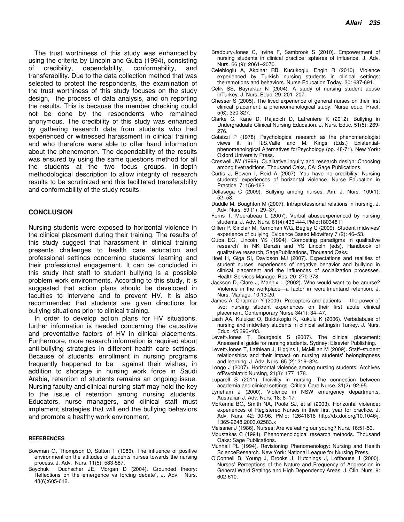The trust worthiness of this study was enhanced by using the criteria by Lincoln and Guba (1994), consisting of credibility, dependability, conformability, and transferability. Due to the data collection method that was selected to protect the respondents, the examination of the trust worthiness of this study focuses on the study design, the process of data analysis, and on reporting the results. This is because the member checking could not be done by the respondents who remained anonymous. The credibility of this study was enhanced by gathering research data from students who had experienced or witnessed harassment in clinical training and who therefore were able to offer hand information about the phenomenon. The dependability of the results was ensured by using the same questions method for all the students at the two focus groups. In-depth methodological description to allow integrity of research results to be scrutinized and this facilitated transferability and conformability of the study results.

#### **CONCLUSION**

Nursing students were exposed to horizontal violence in the clinical placement during their training. The results of this study suggest that harassment in clinical training presents challenges to health care education and professional settings concerning students' learning and their professional engagement. It can be concluded in this study that staff to student bullying is a possible problem work environments. According to this study, it is suggested that action plans should be developed in faculties to intervene and to prevent HV. It is also recommended that students are given directions for bullying situations prior to clinical training.

In order to develop action plans for HV situations, further information is needed concerning the causative and preventative factors of HV in clinical placements. Furthermore, more research information is required about anti-bullying strategies in different health care settings. Because of students' enrollment in nursing programs frequently happened to be against their wishes, in addition to shortage in nursing work force in Saudi Arabia, retention of students remains an ongoing issue. Nursing faculty and clinical nursing staff may hold the key to the issue of retention among nursing students. Educators, nurse managers, and clinical staff must implement strategies that will end the bullying behaviors and promote a healthy work environment.

#### **REFERENCES**

- Bowman G, Thompson D, Sutton T (1986). The influence of positive environment on the attitudes of students nurses towards the nursing process. J. Adv. Nurs. 11(5): 583-587.
- Boychuk Duchscher JE, Morgan D (2004). Grounded theory: Reflections on the emergence vs forcing debate", J. Adv. Nurs. 48(6):605-612.
- Bradbury-Jones C, Irvine F, Sambrook S (2010). Empowerment of nursing students in clinical practice: spheres of influence. J. Adv. Nurs. 66 (9): 2061–2070.
- Celebioglu A, Akpinar RB, Kucukoglu, Engin R (2010). Violence experienced by Turkish nursing students in clinical settings: theiremotions and behaviors. Nurse Education Today. 30: 687-691.
- Celik SS, Bayraktar N (2004). A study of nursing student abuse inTurkey. J. Nurs. Educ. 29: 201−207.
- Chesser S (2005). The lived experience of general nurses on their first clinical placement: a pheneomenological study. Nurse educ. Pract. 5(6): 320-327.
- Clarke C, Kane D, Rajacich D, Lafreniere K (2012). Bullying in Undergraduate Clinical Nursing Education. J. Nurs. Educ. 51(5): 269- 276.
- Colaizzi P (1978). Psychological research as the phenomenologist views it. In R.S.Valle and M. Kings (Eds.) Existentialphenomenological Alternatives forPsychology (pp. 48-71). New York: Oxford University Press.
- Creswell JW (1998). Qualitative inquiry and research design: Choosing among fivetraditions. Thousand Oaks, CA: Sage Publications.
- Curtis J, Bowen I, Reid A (2007). You have no credibility: Nursing students' experiences of horizontal violence. Nurse Education in Practice. 7: 156-163.
- Dellasega C (2009). Bullying among nurses. Am. J. Nurs. 109(1): 52−58.
- Duddle M, Boughton M (2007). Intraprofessional relations in nursing. J. Adv. Nurs. 59 (1): 29–37.
- Ferns T, Meerabeau L (2007). Verbal abuseexperienced by nursing students. J. Adv. Nurs. 61(4):436-444.PMid:18034811
- Gillen P, Sinclair M, Kernohan WG, Begley C (2009). Student midwives' experience of bullying. Evidence Based Midwifery 7 (2): 46–53.
- Guba EG, Lincoln YS (1994). Competing paradigms in qualitative research" in NK Denzin and YS Lincoln (eds), Handbook of qualitative research, SagePublications, Thousand Oaks.
- Hoel H, Giga SI, Davidson MJ (2007). Expectations and realities of student nurses' experiences of negative behavior and bullying in clinical placement and the influences of socialization processes. Health Services Manage. Res. 20: 270-278.
- Jackson D, Clare J, Mannix L (2002). Who would want to be anurse? Violence in the workplace—a factor in recruitmentand retention. J. Nurs. Manage. 10:13-20.
- James A, Chapman Y (2009). Preceptors and patients the power of two: nursing student experiences on their first acute clinical placement. Contemporary Nurse 34(1): 34–47.
- Lash AA, Kulukac O, Buldukoglu K, Kukulu K (2006). Verbalabuse of nursing and midwifery students in clinical settingsin Turkey. J. Nurs. Educ. 45:396-403.
- Levett-Jones T, Bourgeois S (2007). The clinical placement: Anessential guide for nursing students. Sydney: Elsevier Publishing.
- Levett-Jones T, Lathlean J, Higgins I, McMillan M (2009). Staff–student relationships and their impact on nursing students' belongingness and learning. J. Adv. Nurs. 65 (2): 316–324.
- Longo J (2007). Horizontal violence among nursing students. Archives ofPsychiatric Nursing, 21(3): 177−178.
- Luparell S (2011). Incivility in nursing: The connection between academia and clinical settings. Critical Care Nurse. 31(2): 92-95.
- Lyneham J (2000). Violence in NSW emergency departments. Australian J. Adv. Nurs. 18: 8–17.
- McKenna BG, Smith NA, Poole SJ, et al (2003). Horizontal violence: experiences of Registered Nurses in their first year for practice. J. Adv. Nurs. 42: 90-96. PMid: 12641816 http://dx.doi.org/10.1046/j. 1365-2648.2003.02583.x
- Meissner J (1986). Nurses: Are we eating our young? Nurs. 16:51-53.
- Moustakas C (1994). Phenomenological research methods. Thousand Oaks: Sage Publications.
- Munhall PL (1994). Revisioning Phenomenology: Nursing and Health ScienceResearch. New York: National League for Nursing Press.
- O'Connell B, Young J, Brooks J, Hutchings J, Lofthouse J (2000). Nurses' Perceptions of the Nature and Frequency of Aggression in General Ward Settings and High Dependency Areas. J. Clin. Nurs. 9: 602-610.